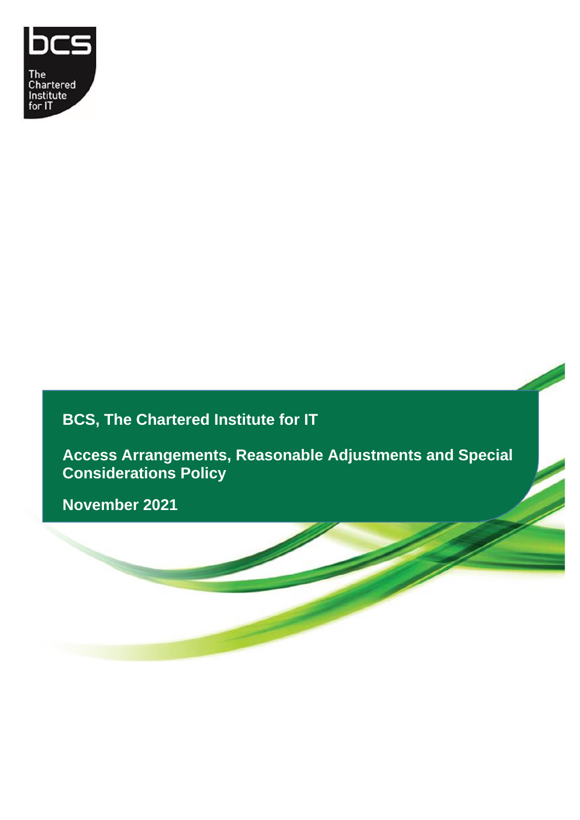

# **BCS, The Chartered Institute for IT**

**Access Arrangements, Reasonable Adjustments and Special Considerations Policy**

April 2015 **November 2021**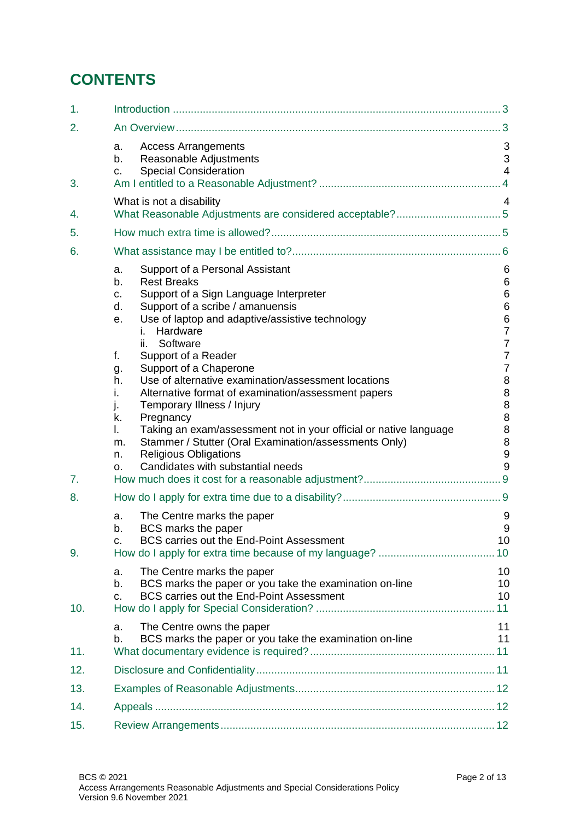# **CONTENTS**

| 1.       |                                                                                                                                                                                                                                                                                                                                                                                                                                                                                                                                                                                                                                                                                                                                    |                                                                                                                                                                   |
|----------|------------------------------------------------------------------------------------------------------------------------------------------------------------------------------------------------------------------------------------------------------------------------------------------------------------------------------------------------------------------------------------------------------------------------------------------------------------------------------------------------------------------------------------------------------------------------------------------------------------------------------------------------------------------------------------------------------------------------------------|-------------------------------------------------------------------------------------------------------------------------------------------------------------------|
| 2.       |                                                                                                                                                                                                                                                                                                                                                                                                                                                                                                                                                                                                                                                                                                                                    |                                                                                                                                                                   |
| 3.       | <b>Access Arrangements</b><br>a.<br>Reasonable Adjustments<br>b.<br><b>Special Consideration</b><br>C.                                                                                                                                                                                                                                                                                                                                                                                                                                                                                                                                                                                                                             | 3<br>3<br>$\overline{4}$                                                                                                                                          |
|          | What is not a disability                                                                                                                                                                                                                                                                                                                                                                                                                                                                                                                                                                                                                                                                                                           | 4                                                                                                                                                                 |
| 4.       |                                                                                                                                                                                                                                                                                                                                                                                                                                                                                                                                                                                                                                                                                                                                    |                                                                                                                                                                   |
| 5.       |                                                                                                                                                                                                                                                                                                                                                                                                                                                                                                                                                                                                                                                                                                                                    |                                                                                                                                                                   |
| 6.       |                                                                                                                                                                                                                                                                                                                                                                                                                                                                                                                                                                                                                                                                                                                                    |                                                                                                                                                                   |
| 7.<br>8. | Support of a Personal Assistant<br>a.<br><b>Rest Breaks</b><br>b.<br>Support of a Sign Language Interpreter<br>c.<br>Support of a scribe / amanuensis<br>d.<br>Use of laptop and adaptive/assistive technology<br>е.<br>Hardware<br>İ.<br>Software<br>ii.<br>Support of a Reader<br>f.<br>Support of a Chaperone<br>g.<br>Use of alternative examination/assessment locations<br>h.<br>i.<br>Alternative format of examination/assessment papers<br>Temporary Illness / Injury<br>j.<br>Pregnancy<br>k.<br>Taking an exam/assessment not in your official or native language<br>I.<br>Stammer / Stutter (Oral Examination/assessments Only)<br>m.<br><b>Religious Obligations</b><br>n.<br>Candidates with substantial needs<br>0. | 6<br>6<br>6<br>$6\phantom{1}6$<br>$6\phantom{1}6$<br>$\overline{7}$<br>$\overline{7}$<br>$\overline{7}$<br>$\overline{7}$<br>8<br>8<br>8<br>8<br>8<br>8<br>9<br>9 |
| 9.       | The Centre marks the paper<br>a.<br>BCS marks the paper<br>b.<br>BCS carries out the End-Point Assessment                                                                                                                                                                                                                                                                                                                                                                                                                                                                                                                                                                                                                          | 9<br>9<br>10<br>10                                                                                                                                                |
| 10.      | The Centre marks the paper<br>a.<br>BCS marks the paper or you take the examination on-line<br>b.<br>BCS carries out the End-Point Assessment<br>C.                                                                                                                                                                                                                                                                                                                                                                                                                                                                                                                                                                                | 10<br>10<br>10<br>11                                                                                                                                              |
| 11.      | The Centre owns the paper<br>a.<br>BCS marks the paper or you take the examination on-line<br>b.                                                                                                                                                                                                                                                                                                                                                                                                                                                                                                                                                                                                                                   | 11<br>11                                                                                                                                                          |
| 12.      |                                                                                                                                                                                                                                                                                                                                                                                                                                                                                                                                                                                                                                                                                                                                    |                                                                                                                                                                   |
| 13.      |                                                                                                                                                                                                                                                                                                                                                                                                                                                                                                                                                                                                                                                                                                                                    |                                                                                                                                                                   |
| 14.      |                                                                                                                                                                                                                                                                                                                                                                                                                                                                                                                                                                                                                                                                                                                                    |                                                                                                                                                                   |
| 15.      |                                                                                                                                                                                                                                                                                                                                                                                                                                                                                                                                                                                                                                                                                                                                    |                                                                                                                                                                   |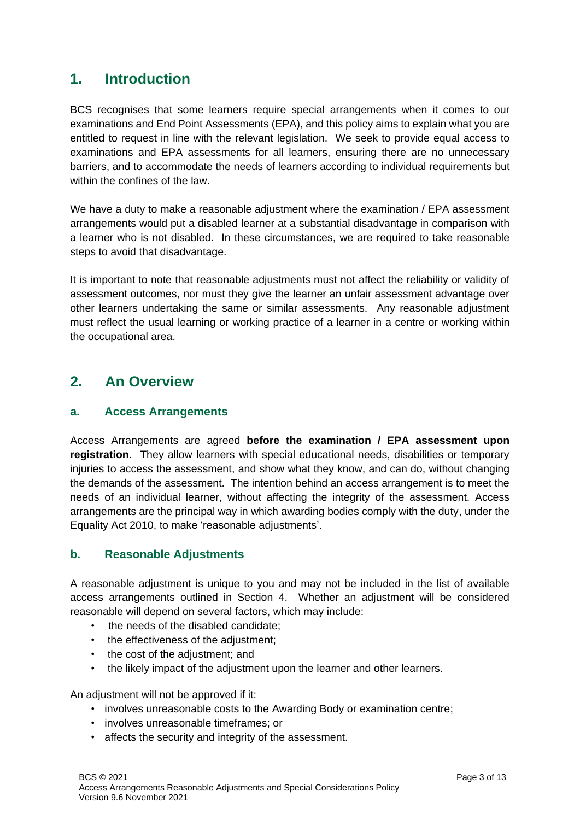## <span id="page-2-0"></span>**1. Introduction**

BCS recognises that some learners require special arrangements when it comes to our examinations and End Point Assessments (EPA), and this policy aims to explain what you are entitled to request in line with the relevant legislation. We seek to provide equal access to examinations and EPA assessments for all learners, ensuring there are no unnecessary barriers, and to accommodate the needs of learners according to individual requirements but within the confines of the law.

We have a duty to make a reasonable adjustment where the examination / EPA assessment arrangements would put a disabled learner at a substantial disadvantage in comparison with a learner who is not disabled. In these circumstances, we are required to take reasonable steps to avoid that disadvantage.

It is important to note that reasonable adjustments must not affect the reliability or validity of assessment outcomes, nor must they give the learner an unfair assessment advantage over other learners undertaking the same or similar assessments. Any reasonable adjustment must reflect the usual learning or working practice of a learner in a centre or working within the occupational area.

## <span id="page-2-1"></span>**2. An Overview**

## <span id="page-2-2"></span>**a. Access Arrangements**

Access Arrangements are agreed **before the examination / EPA assessment upon registration**. They allow learners with special educational needs, disabilities or temporary injuries to access the assessment, and show what they know, and can do, without changing the demands of the assessment. The intention behind an access arrangement is to meet the needs of an individual learner, without affecting the integrity of the assessment. Access arrangements are the principal way in which awarding bodies comply with the duty, under the Equality Act 2010, to make 'reasonable adjustments'.

## <span id="page-2-3"></span>**b. Reasonable Adjustments**

A reasonable adjustment is unique to you and may not be included in the list of available access arrangements outlined in Section 4. Whether an adjustment will be considered reasonable will depend on several factors, which may include:

- the needs of the disabled candidate;
- the effectiveness of the adjustment;
- the cost of the adjustment; and
- the likely impact of the adjustment upon the learner and other learners.

An adjustment will not be approved if it:

- involves unreasonable costs to the Awarding Body or examination centre;
- involves unreasonable timeframes; or
- affects the security and integrity of the assessment.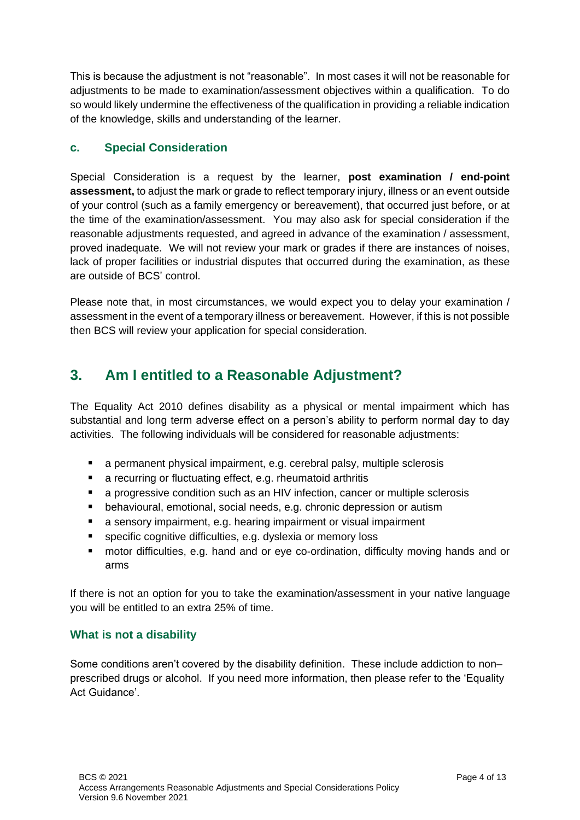This is because the adjustment is not "reasonable". In most cases it will not be reasonable for adjustments to be made to examination/assessment objectives within a qualification. To do so would likely undermine the effectiveness of the qualification in providing a reliable indication of the knowledge, skills and understanding of the learner.

## <span id="page-3-0"></span>**c. Special Consideration**

Special Consideration is a request by the learner, **post examination / end-point assessment,** to adjust the mark or grade to reflect temporary injury, illness or an event outside of your control (such as a family emergency or bereavement), that occurred just before, or at the time of the examination/assessment. You may also ask for special consideration if the reasonable adjustments requested, and agreed in advance of the examination / assessment, proved inadequate. We will not review your mark or grades if there are instances of noises, lack of proper facilities or industrial disputes that occurred during the examination, as these are outside of BCS' control.

Please note that, in most circumstances, we would expect you to delay your examination / assessment in the event of a temporary illness or bereavement. However, if this is not possible then BCS will review your application for special consideration.

## <span id="page-3-1"></span>**3. Am I entitled to a Reasonable Adjustment?**

The Equality Act 2010 defines disability as a physical or mental impairment which has substantial and long term adverse effect on a person's ability to perform normal day to day activities. The following individuals will be considered for reasonable adjustments:

- a permanent physical impairment, e.g. cerebral palsy, multiple sclerosis
- a recurring or fluctuating effect, e.g. rheumatoid arthritis
- a progressive condition such as an HIV infection, cancer or multiple sclerosis
- behavioural, emotional, social needs, e.g. chronic depression or autism
- a sensory impairment, e.g. hearing impairment or visual impairment
- specific cognitive difficulties, e.g. dyslexia or memory loss
- motor difficulties, e.g. hand and or eye co-ordination, difficulty moving hands and or arms

If there is not an option for you to take the examination/assessment in your native language you will be entitled to an extra 25% of time.

## <span id="page-3-2"></span>**What is not a disability**

Some conditions aren't covered by the disability definition. These include addiction to non– prescribed drugs or alcohol. If you need more information, then please refer to the 'Equality Act Guidance'.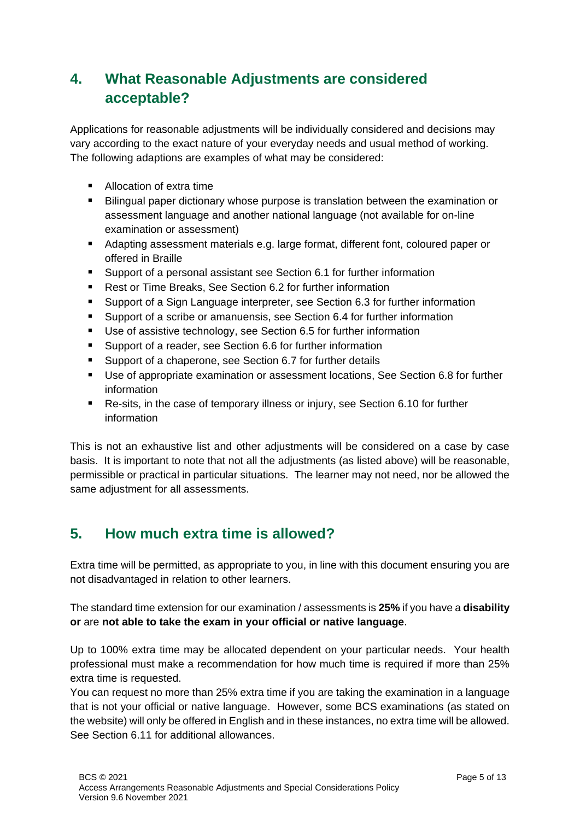# <span id="page-4-0"></span>**4. What Reasonable Adjustments are considered acceptable?**

Applications for reasonable adjustments will be individually considered and decisions may vary according to the exact nature of your everyday needs and usual method of working. The following adaptions are examples of what may be considered:

- Allocation of extra time
- Bilingual paper dictionary whose purpose is translation between the examination or assessment language and another national language (not available for on-line examination or assessment)
- Adapting assessment materials e.g. large format, different font, coloured paper or offered in Braille
- Support of a personal assistant see Section 6.1 for further information
- Rest or Time Breaks, See Section 6.2 for further information
- Support of a Sign Language interpreter, see Section 6.3 for further information
- Support of a scribe or amanuensis, see Section 6.4 for further information
- Use of assistive technology, see Section 6.5 for further information
- Support of a reader, see Section 6.6 for further information
- Support of a chaperone, see Section 6.7 for further details
- Use of appropriate examination or assessment locations, See Section 6.8 for further information
- Re-sits, in the case of temporary illness or injury, see Section 6.10 for further information

This is not an exhaustive list and other adjustments will be considered on a case by case basis. It is important to note that not all the adjustments (as listed above) will be reasonable, permissible or practical in particular situations. The learner may not need, nor be allowed the same adjustment for all assessments.

# <span id="page-4-1"></span>**5. How much extra time is allowed?**

Extra time will be permitted, as appropriate to you, in line with this document ensuring you are not disadvantaged in relation to other learners.

The standard time extension for our examination / assessments is **25%** if you have a **disability or** are **not able to take the exam in your official or native language**.

Up to 100% extra time may be allocated dependent on your particular needs. Your health professional must make a recommendation for how much time is required if more than 25% extra time is requested.

You can request no more than 25% extra time if you are taking the examination in a language that is not your official or native language. However, some BCS examinations (as stated on the website) will only be offered in English and in these instances, no extra time will be allowed. See Section 6.11 for additional allowances.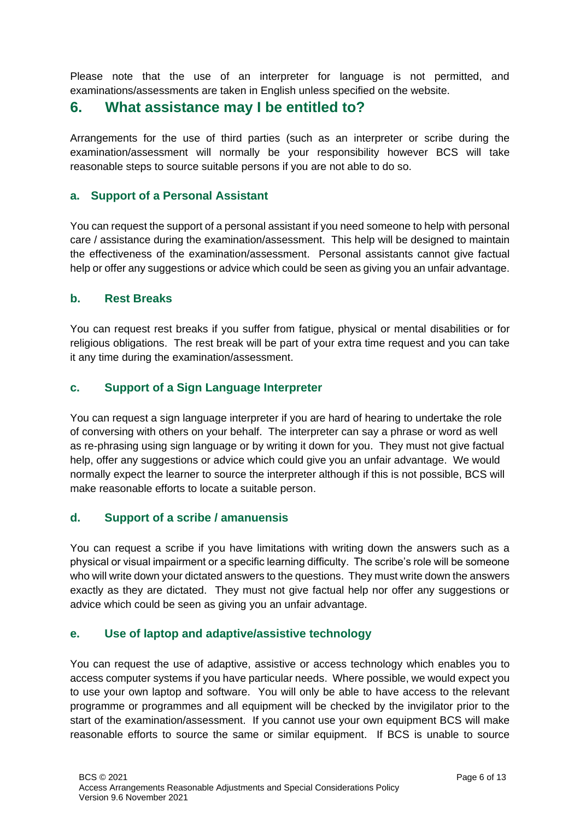Please note that the use of an interpreter for language is not permitted, and examinations/assessments are taken in English unless specified on the website.

## <span id="page-5-0"></span>**6. What assistance may I be entitled to?**

Arrangements for the use of third parties (such as an interpreter or scribe during the examination/assessment will normally be your responsibility however BCS will take reasonable steps to source suitable persons if you are not able to do so.

## <span id="page-5-1"></span>**a. Support of a Personal Assistant**

You can request the support of a personal assistant if you need someone to help with personal care / assistance during the examination/assessment. This help will be designed to maintain the effectiveness of the examination/assessment. Personal assistants cannot give factual help or offer any suggestions or advice which could be seen as giving you an unfair advantage.

## <span id="page-5-2"></span>**b. Rest Breaks**

You can request rest breaks if you suffer from fatigue, physical or mental disabilities or for religious obligations. The rest break will be part of your extra time request and you can take it any time during the examination/assessment.

## <span id="page-5-3"></span>**c. Support of a Sign Language Interpreter**

You can request a sign language interpreter if you are hard of hearing to undertake the role of conversing with others on your behalf. The interpreter can say a phrase or word as well as re-phrasing using sign language or by writing it down for you. They must not give factual help, offer any suggestions or advice which could give you an unfair advantage. We would normally expect the learner to source the interpreter although if this is not possible, BCS will make reasonable efforts to locate a suitable person.

## <span id="page-5-4"></span>**d. Support of a scribe / amanuensis**

You can request a scribe if you have limitations with writing down the answers such as a physical or visual impairment or a specific learning difficulty. The scribe's role will be someone who will write down your dictated answers to the questions. They must write down the answers exactly as they are dictated. They must not give factual help nor offer any suggestions or advice which could be seen as giving you an unfair advantage.

## <span id="page-5-5"></span>**e. Use of laptop and adaptive/assistive technology**

You can request the use of adaptive, assistive or access technology which enables you to access computer systems if you have particular needs. Where possible, we would expect you to use your own laptop and software. You will only be able to have access to the relevant programme or programmes and all equipment will be checked by the invigilator prior to the start of the examination/assessment. If you cannot use your own equipment BCS will make reasonable efforts to source the same or similar equipment. If BCS is unable to source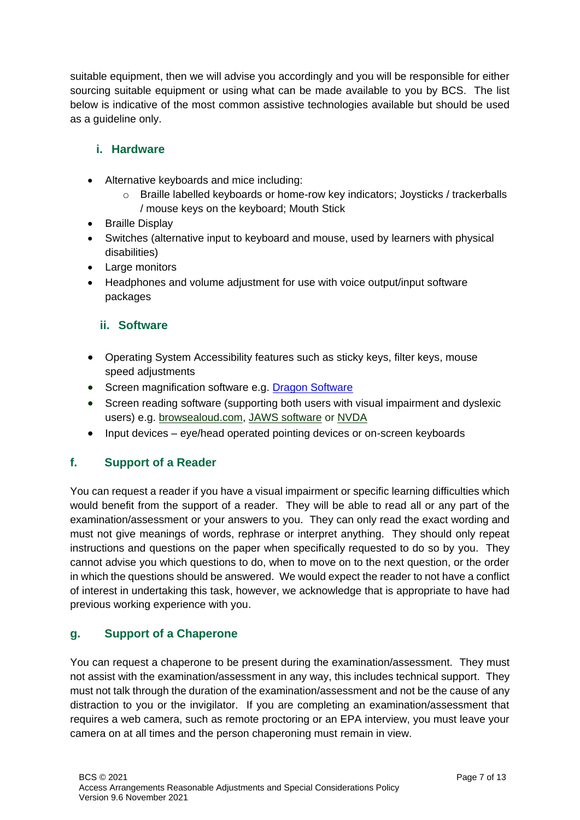suitable equipment, then we will advise you accordingly and you will be responsible for either sourcing suitable equipment or using what can be made available to you by BCS. The list below is indicative of the most common assistive technologies available but should be used as a guideline only.

## <span id="page-6-0"></span>**i. Hardware**

- Alternative keyboards and mice including:
	- o Braille labelled keyboards or home-row key indicators; Joysticks / trackerballs / mouse keys on the keyboard; Mouth Stick
- Braille Display
- Switches (alternative input to keyboard and mouse, used by learners with physical disabilities)
- Large monitors
- Headphones and volume adjustment for use with voice output/input software packages

## <span id="page-6-1"></span>**ii. Software**

- Operating System Accessibility features such as sticky keys, filter keys, mouse speed adjustments
- Screen magnification software e.g. [Dragon Software](http://shop.nuance.co.uk/store/nuanceeu/en_GB/pd/productID.253297000/pgm.95039500/OfferID.42233879309/Currency.GBP?utm_source=bing&utm_medium=cpc&utm_campaign=UK-DGN-PRO-Home-B_|_EMEA_|_UK_|_EN_|_DNS_|_RAN_|_Dragon_Naturally_Speaking&utm_content=B_|_EMEA_|_UK_|_EN_|_DNS_|_RAN_|_Dragon_Naturally_Speaking_-_Generic&utm_term=dragon+naturally+speaking+software_exact)
- Screen reading software (supporting both users with visual impairment and dyslexic users) e.g. [browsealoud.com,](http://browsealoud.com/) [JAWS software](http://freedomscientific.com/products/fs/jaws-product-page.asp) or [NVDA](http://www.nvda-project.org/)
- Input devices eye/head operated pointing devices or on-screen keyboards

## <span id="page-6-2"></span>**f. Support of a Reader**

You can request a reader if you have a visual impairment or specific learning difficulties which would benefit from the support of a reader. They will be able to read all or any part of the examination/assessment or your answers to you. They can only read the exact wording and must not give meanings of words, rephrase or interpret anything. They should only repeat instructions and questions on the paper when specifically requested to do so by you. They cannot advise you which questions to do, when to move on to the next question, or the order in which the questions should be answered. We would expect the reader to not have a conflict of interest in undertaking this task, however, we acknowledge that is appropriate to have had previous working experience with you.

## <span id="page-6-3"></span>**g. Support of a Chaperone**

You can request a chaperone to be present during the examination/assessment. They must not assist with the examination/assessment in any way, this includes technical support. They must not talk through the duration of the examination/assessment and not be the cause of any distraction to you or the invigilator. If you are completing an examination/assessment that requires a web camera, such as remote proctoring or an EPA interview, you must leave your camera on at all times and the person chaperoning must remain in view.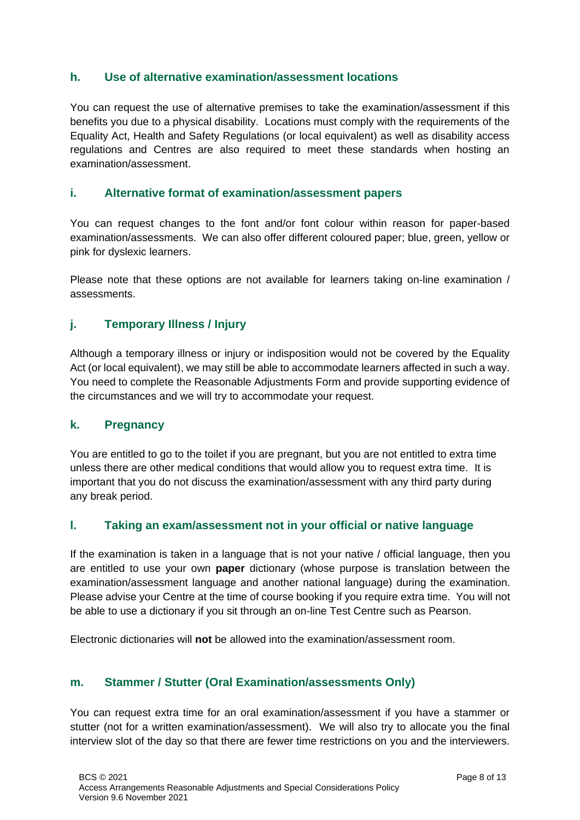## <span id="page-7-0"></span>**h. Use of alternative examination/assessment locations**

You can request the use of alternative premises to take the examination/assessment if this benefits you due to a physical disability. Locations must comply with the requirements of the Equality Act, Health and Safety Regulations (or local equivalent) as well as disability access regulations and Centres are also required to meet these standards when hosting an examination/assessment.

## <span id="page-7-1"></span>**i. Alternative format of examination/assessment papers**

You can request changes to the font and/or font colour within reason for paper-based examination/assessments. We can also offer different coloured paper; blue, green, yellow or pink for dyslexic learners.

Please note that these options are not available for learners taking on-line examination / assessments.

## <span id="page-7-2"></span>**j. Temporary Illness / Injury**

Although a temporary illness or injury or indisposition would not be covered by the Equality Act (or local equivalent), we may still be able to accommodate learners affected in such a way. You need to complete the Reasonable Adjustments Form and provide supporting evidence of the circumstances and we will try to accommodate your request.

## <span id="page-7-3"></span>**k. Pregnancy**

You are entitled to go to the toilet if you are pregnant, but you are not entitled to extra time unless there are other medical conditions that would allow you to request extra time. It is important that you do not discuss the examination/assessment with any third party during any break period.

## <span id="page-7-4"></span>**l. Taking an exam/assessment not in your official or native language**

If the examination is taken in a language that is not your native / official language, then you are entitled to use your own **paper** dictionary (whose purpose is translation between the examination/assessment language and another national language) during the examination. Please advise your Centre at the time of course booking if you require extra time. You will not be able to use a dictionary if you sit through an on-line Test Centre such as Pearson.

Electronic dictionaries will **not** be allowed into the examination/assessment room.

## <span id="page-7-5"></span>**m. Stammer / Stutter (Oral Examination/assessments Only)**

You can request extra time for an oral examination/assessment if you have a stammer or stutter (not for a written examination/assessment). We will also try to allocate you the final interview slot of the day so that there are fewer time restrictions on you and the interviewers.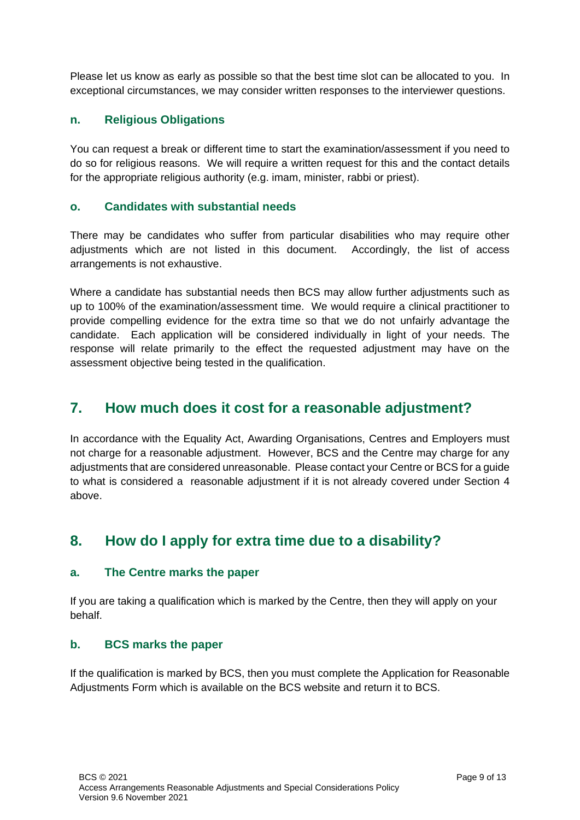Please let us know as early as possible so that the best time slot can be allocated to you. In exceptional circumstances, we may consider written responses to the interviewer questions.

## <span id="page-8-0"></span>**n. Religious Obligations**

You can request a break or different time to start the examination/assessment if you need to do so for religious reasons. We will require a written request for this and the contact details for the appropriate religious authority (e.g. imam, minister, rabbi or priest).

#### <span id="page-8-1"></span>**o. Candidates with substantial needs**

There may be candidates who suffer from particular disabilities who may require other adjustments which are not listed in this document. Accordingly, the list of access arrangements is not exhaustive.

Where a candidate has substantial needs then BCS may allow further adjustments such as up to 100% of the examination/assessment time. We would require a clinical practitioner to provide compelling evidence for the extra time so that we do not unfairly advantage the candidate. Each application will be considered individually in light of your needs. The response will relate primarily to the effect the requested adjustment may have on the assessment objective being tested in the qualification.

## <span id="page-8-2"></span>**7. How much does it cost for a reasonable adjustment?**

In accordance with the Equality Act, Awarding Organisations, Centres and Employers must not charge for a reasonable adjustment. However, BCS and the Centre may charge for any adjustments that are considered unreasonable. Please contact your Centre or BCS for a guide to what is considered a reasonable adjustment if it is not already covered under Section 4 above.

## <span id="page-8-3"></span>**8. How do I apply for extra time due to a disability?**

#### <span id="page-8-4"></span>**a. The Centre marks the paper**

If you are taking a qualification which is marked by the Centre, then they will apply on your behalf.

#### <span id="page-8-5"></span>**b. BCS marks the paper**

If the qualification is marked by BCS, then you must complete the Application for Reasonable Adjustments Form which is available on the BCS website and return it to BCS.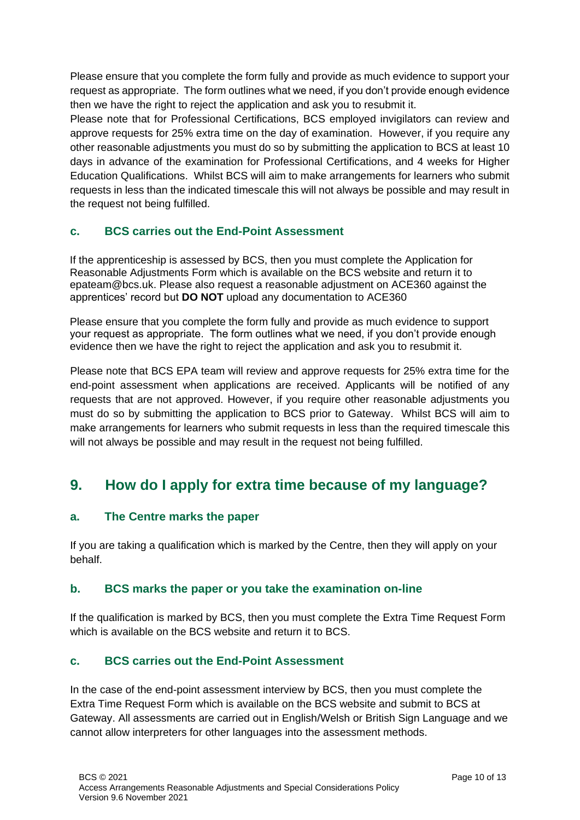Please ensure that you complete the form fully and provide as much evidence to support your request as appropriate. The form outlines what we need, if you don't provide enough evidence then we have the right to reject the application and ask you to resubmit it.

Please note that for Professional Certifications, BCS employed invigilators can review and approve requests for 25% extra time on the day of examination. However, if you require any other reasonable adjustments you must do so by submitting the application to BCS at least 10 days in advance of the examination for Professional Certifications, and 4 weeks for Higher Education Qualifications. Whilst BCS will aim to make arrangements for learners who submit requests in less than the indicated timescale this will not always be possible and may result in the request not being fulfilled.

## <span id="page-9-0"></span>**c. BCS carries out the End-Point Assessment**

If the apprenticeship is assessed by BCS, then you must complete the Application for Reasonable Adjustments Form which is available on the BCS website and return it to epateam@bcs.uk. Please also request a reasonable adjustment on ACE360 against the apprentices' record but **DO NOT** upload any documentation to ACE360

Please ensure that you complete the form fully and provide as much evidence to support your request as appropriate. The form outlines what we need, if you don't provide enough evidence then we have the right to reject the application and ask you to resubmit it.

Please note that BCS EPA team will review and approve requests for 25% extra time for the end-point assessment when applications are received. Applicants will be notified of any requests that are not approved. However, if you require other reasonable adjustments you must do so by submitting the application to BCS prior to Gateway. Whilst BCS will aim to make arrangements for learners who submit requests in less than the required timescale this will not always be possible and may result in the request not being fulfilled.

## <span id="page-9-1"></span>**9. How do I apply for extra time because of my language?**

## <span id="page-9-2"></span>**a. The Centre marks the paper**

If you are taking a qualification which is marked by the Centre, then they will apply on your behalf.

## <span id="page-9-3"></span>**b. BCS marks the paper or you take the examination on-line**

If the qualification is marked by BCS, then you must complete the Extra Time Request Form which is available on the BCS website and return it to BCS.

## <span id="page-9-4"></span>**c. BCS carries out the End-Point Assessment**

In the case of the end-point assessment interview by BCS, then you must complete the Extra Time Request Form which is available on the BCS website and submit to BCS at Gateway. All assessments are carried out in English/Welsh or British Sign Language and we cannot allow interpreters for other languages into the assessment methods.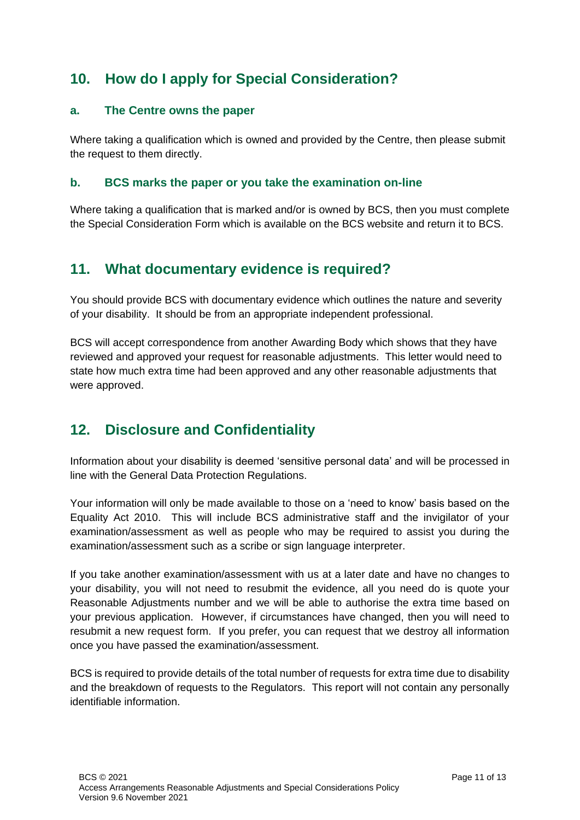# <span id="page-10-0"></span>**10. How do I apply for Special Consideration?**

## <span id="page-10-1"></span>**a. The Centre owns the paper**

Where taking a qualification which is owned and provided by the Centre, then please submit the request to them directly.

## <span id="page-10-2"></span>**b. BCS marks the paper or you take the examination on-line**

Where taking a qualification that is marked and/or is owned by BCS, then you must complete the Special Consideration Form which is available on the BCS website and return it to BCS.

## <span id="page-10-3"></span>**11. What documentary evidence is required?**

You should provide BCS with documentary evidence which outlines the nature and severity of your disability. It should be from an appropriate independent professional.

BCS will accept correspondence from another Awarding Body which shows that they have reviewed and approved your request for reasonable adjustments. This letter would need to state how much extra time had been approved and any other reasonable adjustments that were approved.

# <span id="page-10-4"></span>**12. Disclosure and Confidentiality**

Information about your disability is deemed 'sensitive personal data' and will be processed in line with the General Data Protection Regulations.

Your information will only be made available to those on a 'need to know' basis based on the Equality Act 2010. This will include BCS administrative staff and the invigilator of your examination/assessment as well as people who may be required to assist you during the examination/assessment such as a scribe or sign language interpreter.

If you take another examination/assessment with us at a later date and have no changes to your disability, you will not need to resubmit the evidence, all you need do is quote your Reasonable Adjustments number and we will be able to authorise the extra time based on your previous application. However, if circumstances have changed, then you will need to resubmit a new request form. If you prefer, you can request that we destroy all information once you have passed the examination/assessment.

BCS is required to provide details of the total number of requests for extra time due to disability and the breakdown of requests to the Regulators. This report will not contain any personally identifiable information.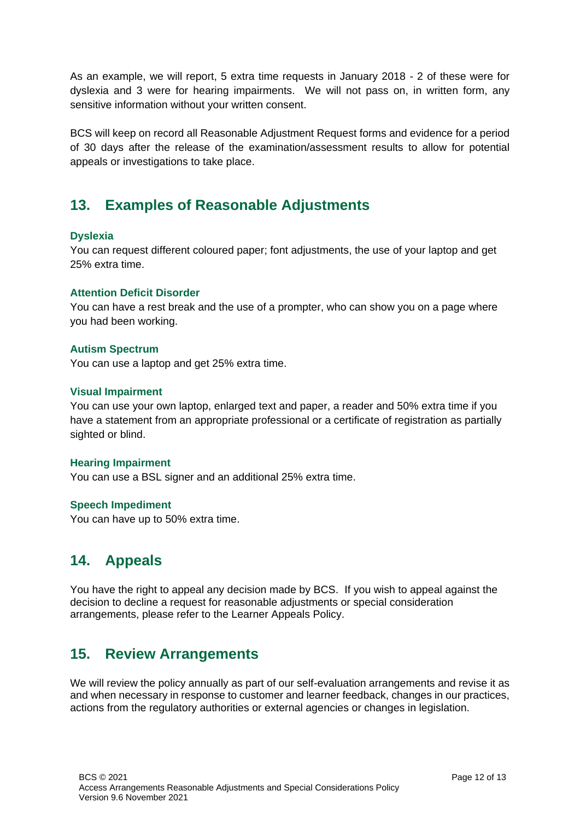As an example, we will report, 5 extra time requests in January 2018 - 2 of these were for dyslexia and 3 were for hearing impairments. We will not pass on, in written form, any sensitive information without your written consent.

BCS will keep on record all Reasonable Adjustment Request forms and evidence for a period of 30 days after the release of the examination/assessment results to allow for potential appeals or investigations to take place.

## <span id="page-11-0"></span>**13. Examples of Reasonable Adjustments**

#### **Dyslexia**

You can request different coloured paper; font adjustments, the use of your laptop and get 25% extra time.

#### **Attention Deficit Disorder**

You can have a rest break and the use of a prompter, who can show you on a page where you had been working.

#### **Autism Spectrum**

You can use a laptop and get 25% extra time.

#### **Visual Impairment**

You can use your own laptop, enlarged text and paper, a reader and 50% extra time if you have a statement from an appropriate professional or a certificate of registration as partially sighted or blind.

#### **Hearing Impairment**

You can use a BSL signer and an additional 25% extra time.

#### **Speech Impediment**

You can have up to 50% extra time.

## <span id="page-11-1"></span>**14. Appeals**

You have the right to appeal any decision made by BCS. If you wish to appeal against the decision to decline a request for reasonable adjustments or special consideration arrangements, please refer to the Learner Appeals Policy.

## <span id="page-11-2"></span>**15. Review Arrangements**

We will review the policy annually as part of our self-evaluation arrangements and revise it as and when necessary in response to customer and learner feedback, changes in our practices, actions from the regulatory authorities or external agencies or changes in legislation.